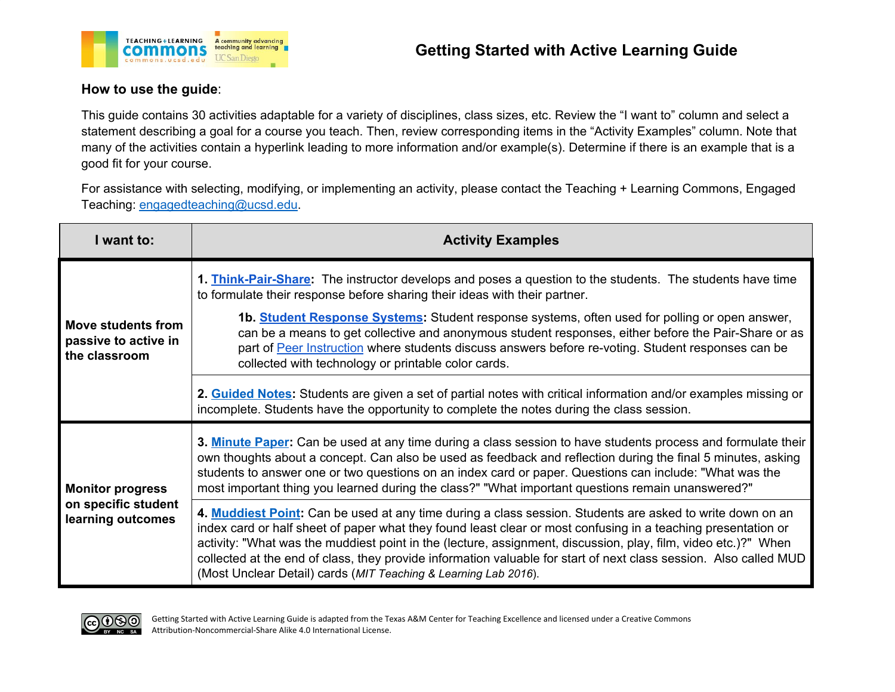



## **How to use the guide**:

This guide contains 30 activities adaptable for a variety of disciplines, class sizes, etc. Review the "I want to" column and select a statement describing a goal for a course you teach. Then, review corresponding items in the "Activity Examples" column. Note that many of the activities contain a hyperlink leading to more information and/or example(s). Determine if there is an example that is a good fit for your course.

For assistance with selecting, modifying, or implementing an activity, please contact the Teaching + Learning Commons, Engaged Teaching: [engagedteaching@ucsd.edu](mailto:engagedteaching@ucsd.edu).

| I want to:                                                          | <b>Activity Examples</b>                                                                                                                                                                                                                                                                                                                                                                                                                                                                                                                                       |
|---------------------------------------------------------------------|----------------------------------------------------------------------------------------------------------------------------------------------------------------------------------------------------------------------------------------------------------------------------------------------------------------------------------------------------------------------------------------------------------------------------------------------------------------------------------------------------------------------------------------------------------------|
| Move students from<br>passive to active in<br>the classroom         | 1. Think-Pair-Share: The instructor develops and poses a question to the students. The students have time<br>to formulate their response before sharing their ideas with their partner.<br>1b. Student Response Systems: Student response systems, often used for polling or open answer,<br>can be a means to get collective and anonymous student responses, either before the Pair-Share or as<br>part of Peer Instruction where students discuss answers before re-voting. Student responses can be<br>collected with technology or printable color cards. |
|                                                                     | 2. Guided Notes: Students are given a set of partial notes with critical information and/or examples missing or<br>incomplete. Students have the opportunity to complete the notes during the class session.                                                                                                                                                                                                                                                                                                                                                   |
| <b>Monitor progress</b><br>on specific student<br>learning outcomes | 3. Minute Paper: Can be used at any time during a class session to have students process and formulate their<br>own thoughts about a concept. Can also be used as feedback and reflection during the final 5 minutes, asking<br>students to answer one or two questions on an index card or paper. Questions can include: "What was the<br>most important thing you learned during the class?" "What important questions remain unanswered?"                                                                                                                   |
|                                                                     | 4. Muddiest Point: Can be used at any time during a class session. Students are asked to write down on an<br>index card or half sheet of paper what they found least clear or most confusing in a teaching presentation or<br>activity: "What was the muddiest point in the (lecture, assignment, discussion, play, film, video etc.)?" When<br>collected at the end of class, they provide information valuable for start of next class session. Also called MUD<br>(Most Unclear Detail) cards (MIT Teaching & Learning Lab 2016).                           |

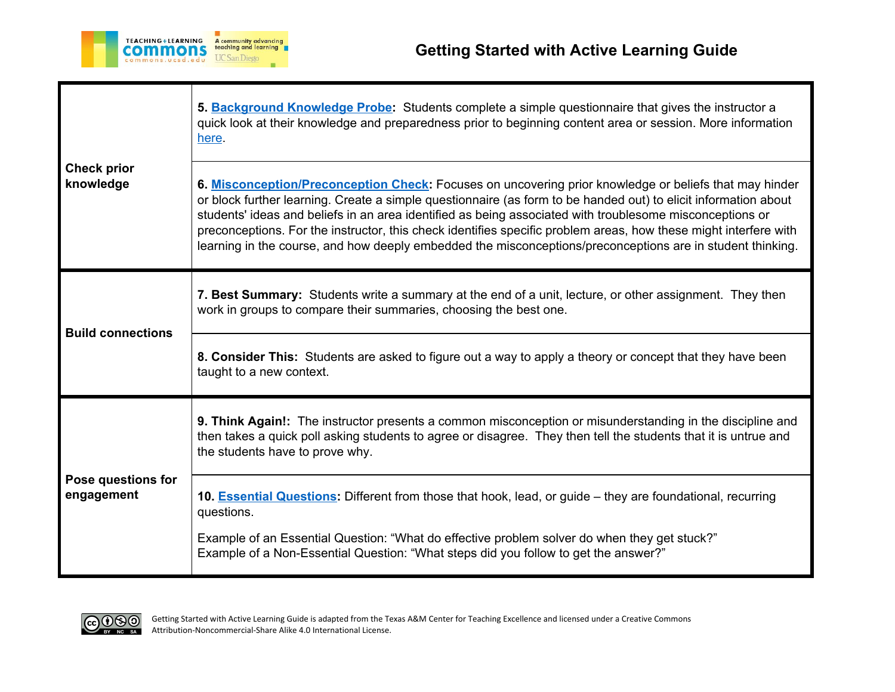

| <b>Check prior</b><br>knowledge  | 5. Background Knowledge Probe: Students complete a simple questionnaire that gives the instructor a<br>quick look at their knowledge and preparedness prior to beginning content area or session. More information<br>here.<br>6. Misconception/Preconception Check: Focuses on uncovering prior knowledge or beliefs that may hinder<br>or block further learning. Create a simple questionnaire (as form to be handed out) to elicit information about<br>students' ideas and beliefs in an area identified as being associated with troublesome misconceptions or<br>preconceptions. For the instructor, this check identifies specific problem areas, how these might interfere with<br>learning in the course, and how deeply embedded the misconceptions/preconceptions are in student thinking. |
|----------------------------------|--------------------------------------------------------------------------------------------------------------------------------------------------------------------------------------------------------------------------------------------------------------------------------------------------------------------------------------------------------------------------------------------------------------------------------------------------------------------------------------------------------------------------------------------------------------------------------------------------------------------------------------------------------------------------------------------------------------------------------------------------------------------------------------------------------|
| <b>Build connections</b>         | 7. Best Summary: Students write a summary at the end of a unit, lecture, or other assignment. They then<br>work in groups to compare their summaries, choosing the best one.<br>8. Consider This: Students are asked to figure out a way to apply a theory or concept that they have been<br>taught to a new context.                                                                                                                                                                                                                                                                                                                                                                                                                                                                                  |
| Pose questions for<br>engagement | 9. Think Again!: The instructor presents a common misconception or misunderstanding in the discipline and<br>then takes a quick poll asking students to agree or disagree. They then tell the students that it is untrue and<br>the students have to prove why.<br>10. Essential Questions: Different from those that hook, lead, or guide – they are foundational, recurring<br>questions.<br>Example of an Essential Question: "What do effective problem solver do when they get stuck?"<br>Example of a Non-Essential Question: "What steps did you follow to get the answer?"                                                                                                                                                                                                                     |

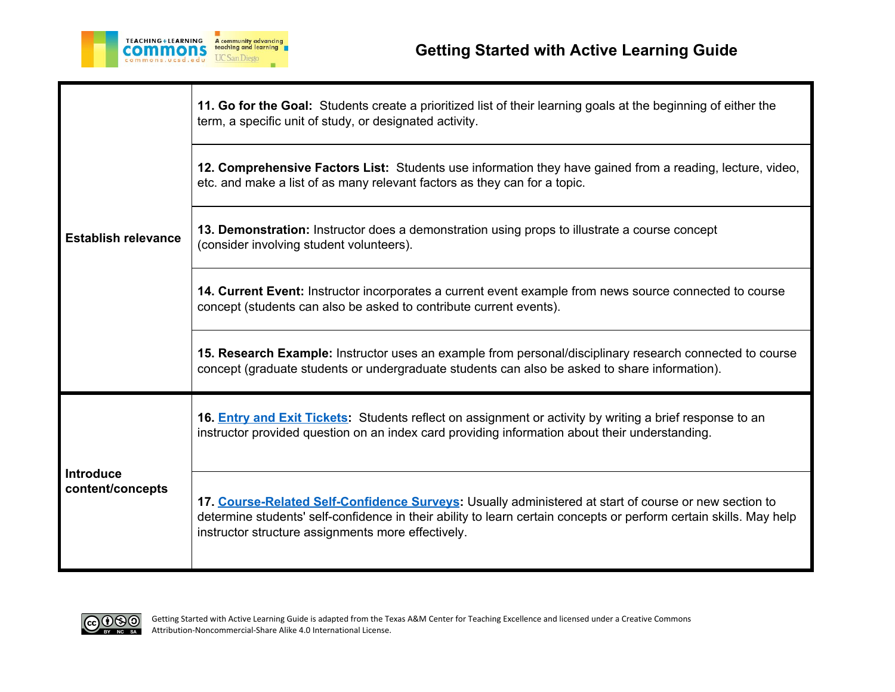

| <b>Establish relevance</b>           | 11. Go for the Goal: Students create a prioritized list of their learning goals at the beginning of either the<br>term, a specific unit of study, or designated activity.                                                                                                         |
|--------------------------------------|-----------------------------------------------------------------------------------------------------------------------------------------------------------------------------------------------------------------------------------------------------------------------------------|
|                                      | 12. Comprehensive Factors List: Students use information they have gained from a reading, lecture, video,<br>etc. and make a list of as many relevant factors as they can for a topic.                                                                                            |
|                                      | 13. Demonstration: Instructor does a demonstration using props to illustrate a course concept<br>(consider involving student volunteers).                                                                                                                                         |
|                                      | 14. Current Event: Instructor incorporates a current event example from news source connected to course<br>concept (students can also be asked to contribute current events).                                                                                                     |
|                                      | 15. Research Example: Instructor uses an example from personal/disciplinary research connected to course<br>concept (graduate students or undergraduate students can also be asked to share information).                                                                         |
| <b>Introduce</b><br>content/concepts | 16. <b>Entry and Exit Tickets:</b> Students reflect on assignment or activity by writing a brief response to an<br>instructor provided question on an index card providing information about their understanding.                                                                 |
|                                      | 17. Course-Related Self-Confidence Surveys: Usually administered at start of course or new section to<br>determine students' self-confidence in their ability to learn certain concepts or perform certain skills. May help<br>instructor structure assignments more effectively. |

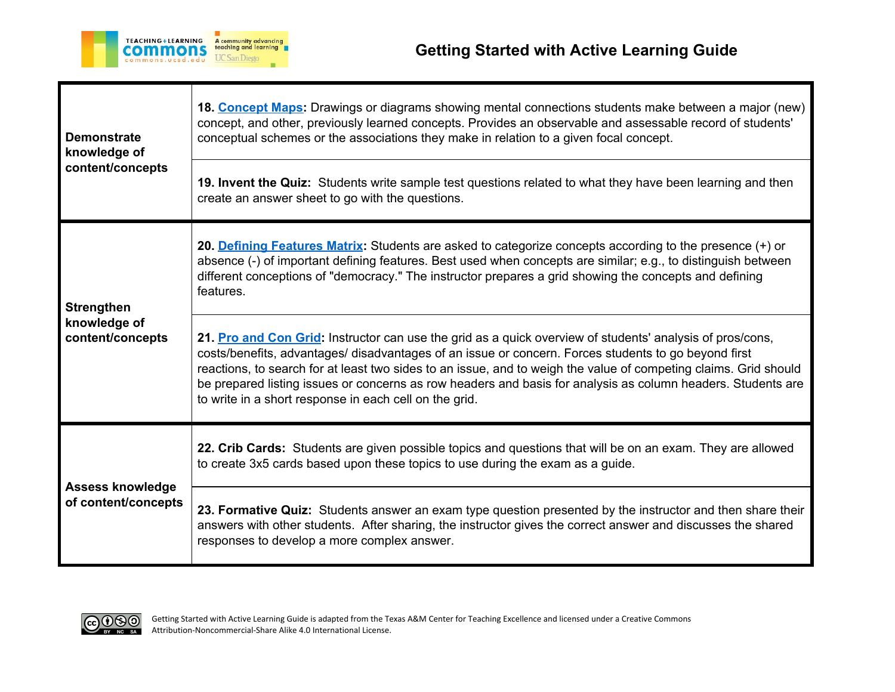

| <b>Demonstrate</b><br>knowledge of<br>content/concepts | 18. Concept Maps: Drawings or diagrams showing mental connections students make between a major (new)<br>concept, and other, previously learned concepts. Provides an observable and assessable record of students'<br>conceptual schemes or the associations they make in relation to a given focal concept.                                                                                                                                                                                                   |
|--------------------------------------------------------|-----------------------------------------------------------------------------------------------------------------------------------------------------------------------------------------------------------------------------------------------------------------------------------------------------------------------------------------------------------------------------------------------------------------------------------------------------------------------------------------------------------------|
|                                                        | 19. Invent the Quiz: Students write sample test questions related to what they have been learning and then<br>create an answer sheet to go with the questions.                                                                                                                                                                                                                                                                                                                                                  |
| <b>Strengthen</b><br>knowledge of<br>content/concepts  | 20. Defining Features Matrix: Students are asked to categorize concepts according to the presence (+) or<br>absence (-) of important defining features. Best used when concepts are similar; e.g., to distinguish between<br>different conceptions of "democracy." The instructor prepares a grid showing the concepts and defining<br>features.                                                                                                                                                                |
|                                                        | 21. Pro and Con Grid: Instructor can use the grid as a quick overview of students' analysis of pros/cons,<br>costs/benefits, advantages/ disadvantages of an issue or concern. Forces students to go beyond first<br>reactions, to search for at least two sides to an issue, and to weigh the value of competing claims. Grid should<br>be prepared listing issues or concerns as row headers and basis for analysis as column headers. Students are<br>to write in a short response in each cell on the grid. |
| <b>Assess knowledge</b><br>of content/concepts         | 22. Crib Cards: Students are given possible topics and questions that will be on an exam. They are allowed<br>to create 3x5 cards based upon these topics to use during the exam as a guide.                                                                                                                                                                                                                                                                                                                    |
|                                                        | 23. Formative Quiz: Students answer an exam type question presented by the instructor and then share their<br>answers with other students. After sharing, the instructor gives the correct answer and discusses the shared<br>responses to develop a more complex answer.                                                                                                                                                                                                                                       |

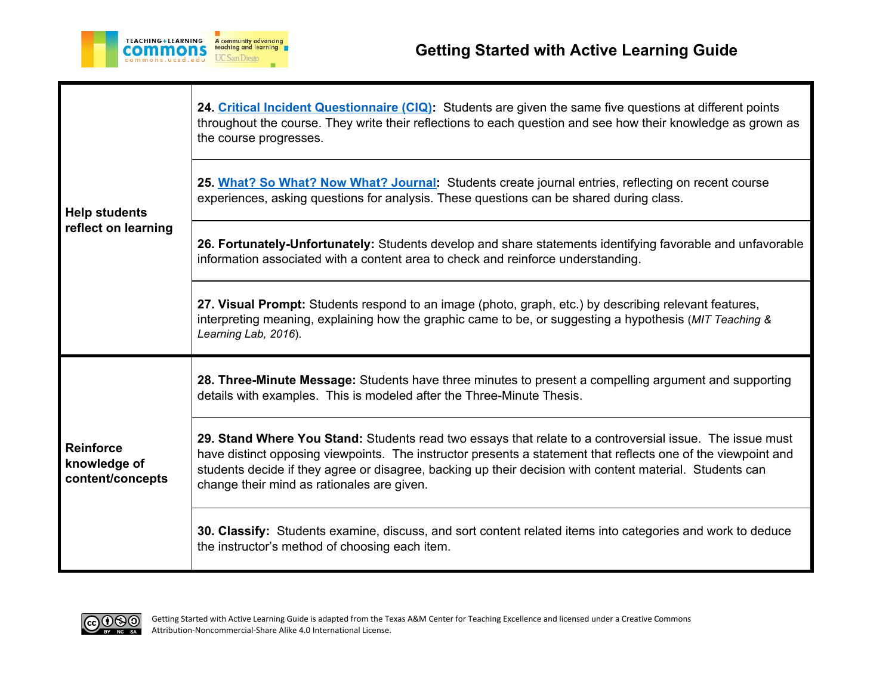

| <b>Help students</b><br>reflect on learning          | 24. Critical Incident Questionnaire (CIQ): Students are given the same five questions at different points<br>throughout the course. They write their reflections to each question and see how their knowledge as grown as<br>the course progresses.                                                                                                                                 |
|------------------------------------------------------|-------------------------------------------------------------------------------------------------------------------------------------------------------------------------------------------------------------------------------------------------------------------------------------------------------------------------------------------------------------------------------------|
|                                                      | 25. What? So What? Now What? Journal: Students create journal entries, reflecting on recent course<br>experiences, asking questions for analysis. These questions can be shared during class.                                                                                                                                                                                       |
|                                                      | 26. Fortunately-Unfortunately: Students develop and share statements identifying favorable and unfavorable<br>information associated with a content area to check and reinforce understanding.                                                                                                                                                                                      |
|                                                      | 27. Visual Prompt: Students respond to an image (photo, graph, etc.) by describing relevant features,<br>interpreting meaning, explaining how the graphic came to be, or suggesting a hypothesis (MIT Teaching &<br>Learning Lab, 2016).                                                                                                                                            |
| <b>Reinforce</b><br>knowledge of<br>content/concepts | 28. Three-Minute Message: Students have three minutes to present a compelling argument and supporting<br>details with examples. This is modeled after the Three-Minute Thesis.                                                                                                                                                                                                      |
|                                                      | 29. Stand Where You Stand: Students read two essays that relate to a controversial issue. The issue must<br>have distinct opposing viewpoints. The instructor presents a statement that reflects one of the viewpoint and<br>students decide if they agree or disagree, backing up their decision with content material. Students can<br>change their mind as rationales are given. |
|                                                      | 30. Classify: Students examine, discuss, and sort content related items into categories and work to deduce<br>the instructor's method of choosing each item.                                                                                                                                                                                                                        |